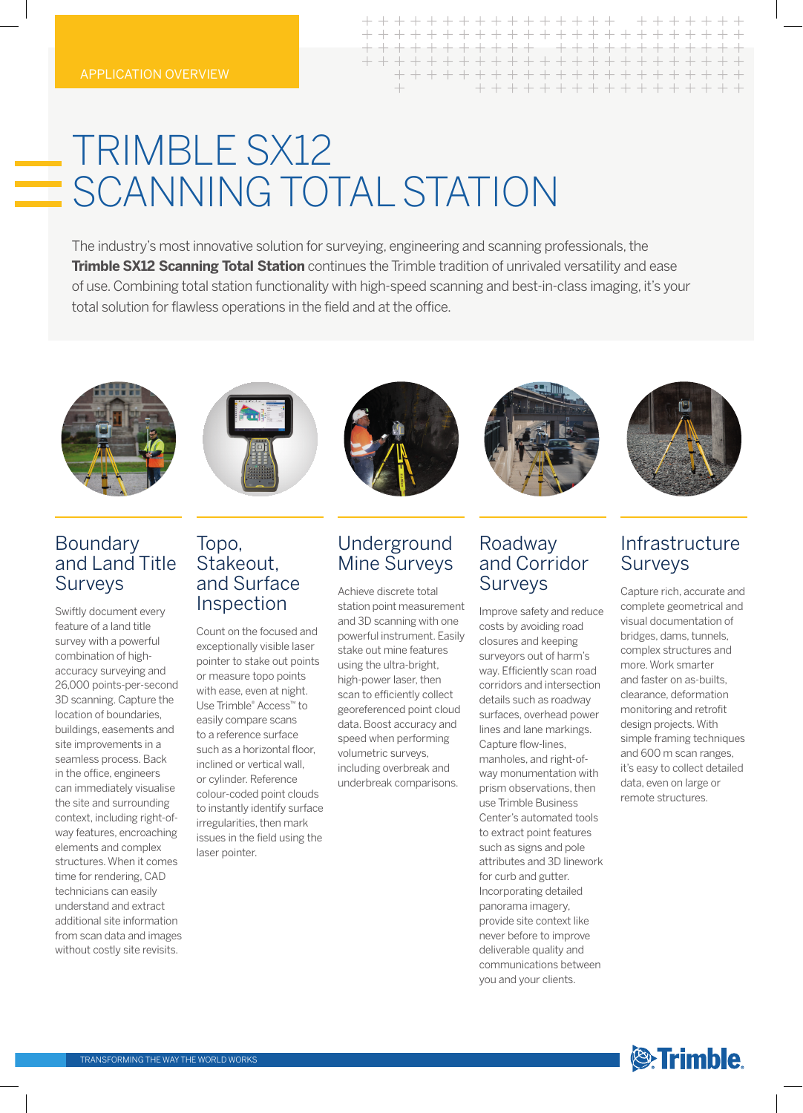# **TRIMBLE SX12** SCANNING TOTAL STATION

The industry's most innovative solution for surveying, engineering and scanning professionals, the **Trimble SX12 Scanning Total Station** continues the Trimble tradition of unrivaled versatility and ease of use. Combining total station functionality with high-speed scanning and best-in-class imaging, it's your total solution for flawless operations in the field and at the office.





## Boundary and Land Title Surveys

Swiftly document every feature of a land title survey with a powerful combination of highaccuracy surveying and 26,000 points-per-second 3D scanning. Capture the location of boundaries, buildings, easements and site improvements in a seamless process. Back in the office, engineers can immediately visualise the site and surrounding context, including right-ofway features, encroaching elements and complex structures. When it comes time for rendering, CAD technicians can easily understand and extract additional site information from scan data and images without costly site revisits.



## Topo, Stakeout, and Surface Inspection

Count on the focused and exceptionally visible laser pointer to stake out points or measure topo points with ease, even at night. Use Trimble® Access™ to easily compare scans to a reference surface such as a horizontal floor, inclined or vertical wall, or cylinder. Reference colour-coded point clouds to instantly identify surface irregularities, then mark issues in the field using the laser pointer.



# Underground Mine Surveys

Achieve discrete total station point measurement and 3D scanning with one powerful instrument. Easily stake out mine features using the ultra-bright, high-power laser, then scan to efficiently collect georeferenced point cloud data. Boost accuracy and speed when performing volumetric surveys, including overbreak and underbreak comparisons.



 $\perp$ 

+ + + + + + + + + + + + + + + +

 $+ + + +$ 

+ + + + + +

## Roadway and Corridor **Surveys**

Improve safety and reduce costs by avoiding road closures and keeping surveyors out of harm's way. Efficiently scan road corridors and intersection details such as roadway surfaces, overhead power lines and lane markings. Capture flow-lines, manholes, and right-ofway monumentation with prism observations, then use Trimble Business Center's automated tools to extract point features such as signs and pole attributes and 3D linework for curb and gutter. Incorporating detailed panorama imagery, provide site context like never before to improve deliverable quality and communications between you and your clients.



# Infrastructure Surveys

Capture rich, accurate and complete geometrical and visual documentation of bridges, dams, tunnels, complex structures and more. Work smarter and faster on as-builts, clearance, deformation monitoring and retrofit design projects. With simple framing techniques and 600 m scan ranges, it's easy to collect detailed data, even on large or remote structures.